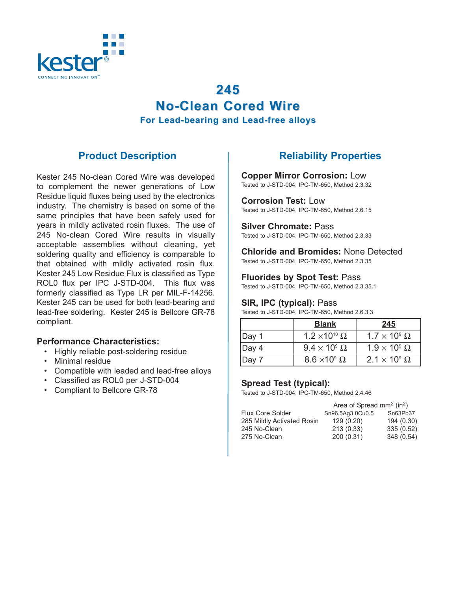

# **245 No-Clean Cored W No-Clean Cored Wire For Lead-bearing and Lead-free alloys For Lead-bearing and Lead-free alloys**

## **Product Description**

Kester 245 No-clean Cored Wire was developed to complement the newer generations of Low Residue liquid fluxes being used by the electronics industry. The chemistry is based on some of the same principles that have been safely used for years in mildly activated rosin fluxes. The use of 245 No-clean Cored Wire results in visually acceptable assemblies without cleaning, yet soldering quality and efficiency is comparable to that obtained with mildly activated rosin flux. Kester 245 Low Residue Flux is classified as Type ROL0 flux per IPC J-STD-004. This flux was formerly classified as Type LR per MIL-F-14256. Kester 245 can be used for both lead-bearing and lead-free soldering. Kester 245 is Bellcore GR-78 compliant.

### **Performance Characteristics:**

- Highly reliable post-soldering residue
- Minimal residue
- Compatible with leaded and lead-free alloys
- Classified as ROL0 per J-STD-004
- Compliant to Bellcore GR-78

# **Reliability Properties**

**Copper Mirror Corrosion:** Low

Tested to J-STD-004, IPC-TM-650, Method 2.3.32

**Corrosion Test:** Low Tested to J-STD-004, IPC-TM-650, Method 2.6.15

**Silver Chromate:** Pass Tested to J-STD-004, IPC-TM-650, Method 2.3.33

**Chloride and Bromides:** None Detected Tested to J-STD-004, IPC-TM-650, Method 2.3.35

**Fluorides by Spot Test:** Pass

Tested to J-STD-004, IPC-TM-650, Method 2.3.35.1

### **SIR, IPC (typical): Pass**

Tested to J-STD-004, IPC-TM-650, Method 2.6.3.3

|           | <b>Blank</b>                | 245                      |
|-----------|-----------------------------|--------------------------|
| $ $ Day 1 | $1.2 \times 10^{10} \Omega$ | $1.7 \times 10^9 \Omega$ |
| $ $ Day 4 | $9.4 \times 10^9 \Omega$    | $1.9 \times 10^9 \Omega$ |
| $ $ Day 7 | $8.6 \times 10^9 \Omega$    | $2.1 \times 10^9 \Omega$ |

### **Spread Test (typical):**

Tested to J-STD-004, IPC-TM-650, Method 2.4.46

| Area of Spread $mm2$ (in <sup>2</sup> ) |                                                          |
|-----------------------------------------|----------------------------------------------------------|
|                                         | Sn63Pb37                                                 |
|                                         | 194 (0.30)                                               |
|                                         | 335 (0.52)                                               |
|                                         | 348 (0.54)                                               |
|                                         | Sn96.5Aq3.0Cu0.5<br>129(0.20)<br>213 (0.33)<br>200(0.31) |